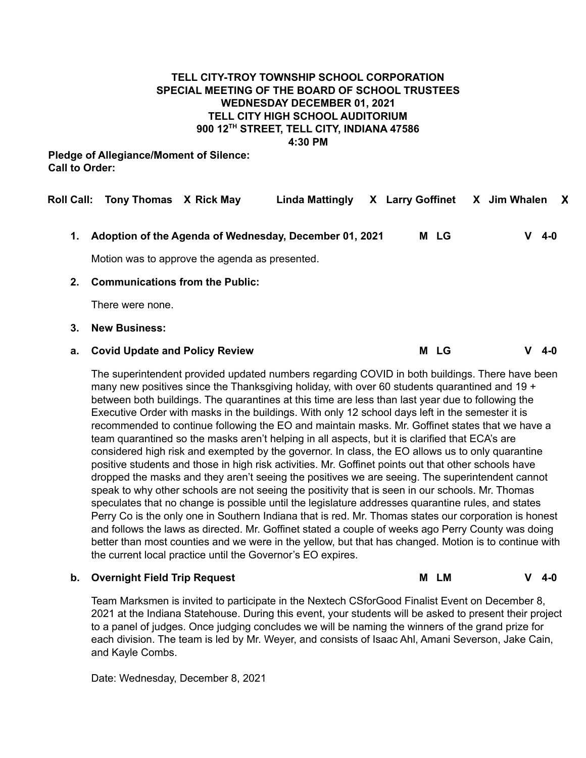#### **TELL CITY-TROY TOWNSHIP SCHOOL CORPORATION SPECIAL MEETING OF THE BOARD OF SCHOOL TRUSTEES WEDNESDAY DECEMBER 01, 2021 TELL CITY HIGH SCHOOL AUDITORIUM 900 12 TH STREET, TELL CITY, INDIANA 47586 4:30 PM**

**Pledge of Allegiance/Moment of Silence: Call to Order:**

|         | Roll Call: Tony Thomas X Rick May              |  | Linda Mattingly                                        |  | X Larry Goffinet | X Jim Whalen |   |     | X |
|---------|------------------------------------------------|--|--------------------------------------------------------|--|------------------|--------------|---|-----|---|
| 1.      |                                                |  | Adoption of the Agenda of Wednesday, December 01, 2021 |  | M LG             |              | v | 4-0 |   |
|         | Motion was to approve the agenda as presented. |  |                                                        |  |                  |              |   |     |   |
| $2_{-}$ | <b>Communications from the Public:</b>         |  |                                                        |  |                  |              |   |     |   |
|         | There were none.                               |  |                                                        |  |                  |              |   |     |   |
| 3.      | <b>New Business:</b>                           |  |                                                        |  |                  |              |   |     |   |
| а.      | <b>Covid Update and Policy Review</b>          |  |                                                        |  | M LG             |              |   | 4-0 |   |

The superintendent provided updated numbers regarding COVID in both buildings. There have been many new positives since the Thanksgiving holiday, with over 60 students quarantined and 19 + between both buildings. The quarantines at this time are less than last year due to following the Executive Order with masks in the buildings. With only 12 school days left in the semester it is recommended to continue following the EO and maintain masks. Mr. Goffinet states that we have a team quarantined so the masks aren't helping in all aspects, but it is clarified that ECA's are considered high risk and exempted by the governor. In class, the EO allows us to only quarantine positive students and those in high risk activities. Mr. Goffinet points out that other schools have dropped the masks and they aren't seeing the positives we are seeing. The superintendent cannot speak to why other schools are not seeing the positivity that is seen in our schools. Mr. Thomas speculates that no change is possible until the legislature addresses quarantine rules, and states Perry Co is the only one in Southern Indiana that is red. Mr. Thomas states our corporation is honest and follows the laws as directed. Mr. Goffinet stated a couple of weeks ago Perry County was doing better than most counties and we were in the yellow, but that has changed. Motion is to continue with the current local practice until the Governor's EO expires.

#### **b. Overnight Field Trip Request M LM V 4-0**

Team Marksmen is invited to participate in the Nextech CSforGood Finalist Event on December 8, 2021 at the Indiana Statehouse. During this event, your students will be asked to present their project to a panel of judges. Once judging concludes we will be naming the winners of the grand prize for each division. The team is led by Mr. Weyer, and consists of Isaac Ahl, Amani Severson, Jake Cain, and Kayle Combs.

Date: Wednesday, December 8, 2021